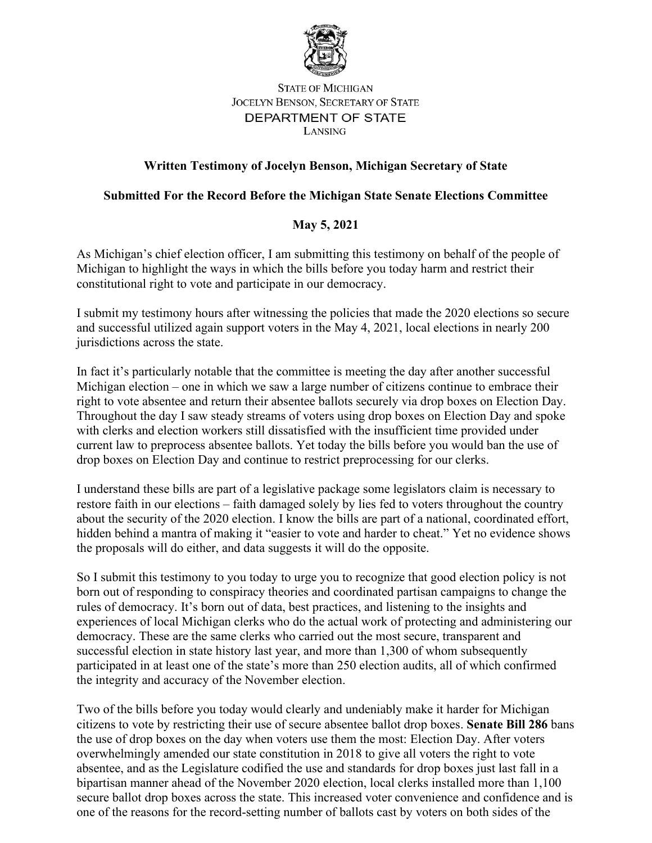

## **STATE OF MICHIGAN JOCELYN BENSON, SECRETARY OF STATE** DEPARTMENT OF STATE LANSING

## **Written Testimony of Jocelyn Benson, Michigan Secretary of State**

## **Submitted For the Record Before the Michigan State Senate Elections Committee**

## **May 5, 2021**

As Michigan's chief election officer, I am submitting this testimony on behalf of the people of Michigan to highlight the ways in which the bills before you today harm and restrict their constitutional right to vote and participate in our democracy.

I submit my testimony hours after witnessing the policies that made the 2020 elections so secure and successful utilized again support voters in the May 4, 2021, local elections in nearly 200 jurisdictions across the state.

In fact it's particularly notable that the committee is meeting the day after another successful Michigan election – one in which we saw a large number of citizens continue to embrace their right to vote absentee and return their absentee ballots securely via drop boxes on Election Day. Throughout the day I saw steady streams of voters using drop boxes on Election Day and spoke with clerks and election workers still dissatisfied with the insufficient time provided under current law to preprocess absentee ballots. Yet today the bills before you would ban the use of drop boxes on Election Day and continue to restrict preprocessing for our clerks.

I understand these bills are part of a legislative package some legislators claim is necessary to restore faith in our elections – faith damaged solely by lies fed to voters throughout the country about the security of the 2020 election. I know the bills are part of a national, coordinated effort, hidden behind a mantra of making it "easier to vote and harder to cheat." Yet no evidence shows the proposals will do either, and data suggests it will do the opposite.

So I submit this testimony to you today to urge you to recognize that good election policy is not born out of responding to conspiracy theories and coordinated partisan campaigns to change the rules of democracy. It's born out of data, best practices, and listening to the insights and experiences of local Michigan clerks who do the actual work of protecting and administering our democracy. These are the same clerks who carried out the most secure, transparent and successful election in state history last year, and more than 1,300 of whom subsequently participated in at least one of the state's more than 250 election audits, all of which confirmed the integrity and accuracy of the November election.

Two of the bills before you today would clearly and undeniably make it harder for Michigan citizens to vote by restricting their use of secure absentee ballot drop boxes. **Senate Bill 286** bans the use of drop boxes on the day when voters use them the most: Election Day. After voters overwhelmingly amended our state constitution in 2018 to give all voters the right to vote absentee, and as the Legislature codified the use and standards for drop boxes just last fall in a bipartisan manner ahead of the November 2020 election, local clerks installed more than 1,100 secure ballot drop boxes across the state. This increased voter convenience and confidence and is one of the reasons for the record-setting number of ballots cast by voters on both sides of the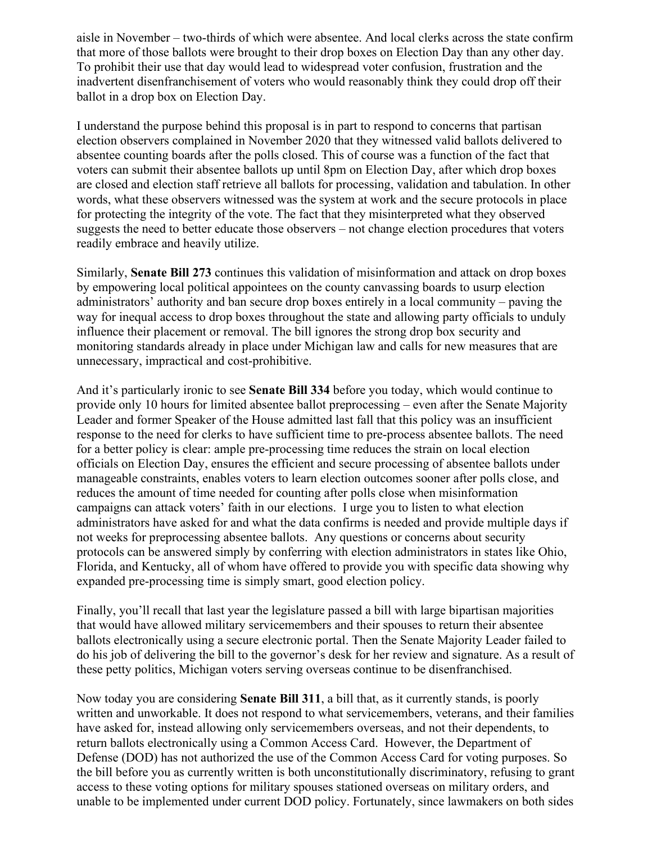aisle in November – two-thirds of which were absentee. And local clerks across the state confirm that more of those ballots were brought to their drop boxes on Election Day than any other day. To prohibit their use that day would lead to widespread voter confusion, frustration and the inadvertent disenfranchisement of voters who would reasonably think they could drop off their ballot in a drop box on Election Day.

I understand the purpose behind this proposal is in part to respond to concerns that partisan election observers complained in November 2020 that they witnessed valid ballots delivered to absentee counting boards after the polls closed. This of course was a function of the fact that voters can submit their absentee ballots up until 8pm on Election Day, after which drop boxes are closed and election staff retrieve all ballots for processing, validation and tabulation. In other words, what these observers witnessed was the system at work and the secure protocols in place for protecting the integrity of the vote. The fact that they misinterpreted what they observed suggests the need to better educate those observers – not change election procedures that voters readily embrace and heavily utilize.

Similarly, **Senate Bill 273** continues this validation of misinformation and attack on drop boxes by empowering local political appointees on the county canvassing boards to usurp election administrators' authority and ban secure drop boxes entirely in a local community – paving the way for inequal access to drop boxes throughout the state and allowing party officials to unduly influence their placement or removal. The bill ignores the strong drop box security and monitoring standards already in place under Michigan law and calls for new measures that are unnecessary, impractical and cost-prohibitive.

And it's particularly ironic to see **Senate Bill 334** before you today, which would continue to provide only 10 hours for limited absentee ballot preprocessing – even after the Senate Majority Leader and former Speaker of the House admitted last fall that this policy was an insufficient response to the need for clerks to have sufficient time to pre-process absentee ballots. The need for a better policy is clear: ample pre-processing time reduces the strain on local election officials on Election Day, ensures the efficient and secure processing of absentee ballots under manageable constraints, enables voters to learn election outcomes sooner after polls close, and reduces the amount of time needed for counting after polls close when misinformation campaigns can attack voters' faith in our elections. I urge you to listen to what election administrators have asked for and what the data confirms is needed and provide multiple days if not weeks for preprocessing absentee ballots. Any questions or concerns about security protocols can be answered simply by conferring with election administrators in states like Ohio, Florida, and Kentucky, all of whom have offered to provide you with specific data showing why expanded pre-processing time is simply smart, good election policy.

Finally, you'll recall that last year the legislature passed a bill with large bipartisan majorities that would have allowed military servicemembers and their spouses to return their absentee ballots electronically using a secure electronic portal. Then the Senate Majority Leader failed to do his job of delivering the bill to the governor's desk for her review and signature. As a result of these petty politics, Michigan voters serving overseas continue to be disenfranchised.

Now today you are considering **Senate Bill 311**, a bill that, as it currently stands, is poorly written and unworkable. It does not respond to what servicemembers, veterans, and their families have asked for, instead allowing only servicemembers overseas, and not their dependents, to return ballots electronically using a Common Access Card. However, the Department of Defense (DOD) has not authorized the use of the Common Access Card for voting purposes. So the bill before you as currently written is both unconstitutionally discriminatory, refusing to grant access to these voting options for military spouses stationed overseas on military orders, and unable to be implemented under current DOD policy. Fortunately, since lawmakers on both sides